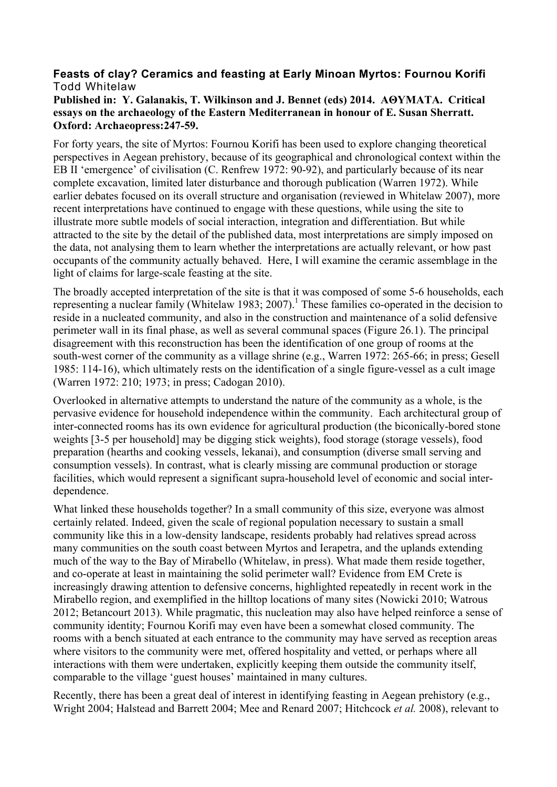## **Feasts of clay? Ceramics and feasting at Early Minoan Myrtos: Fournou Korifi** Todd Whitelaw

## **Published in: Y. Galanakis, T. Wilkinson and J. Bennet (eds) 2014. AΘYMATA. Critical essays on the archaeology of the Eastern Mediterranean in honour of E. Susan Sherratt. Oxford: Archaeopress:247-59.**

For forty years, the site of Myrtos: Fournou Korifi has been used to explore changing theoretical perspectives in Aegean prehistory, because of its geographical and chronological context within the EB II 'emergence' of civilisation (C. Renfrew 1972: 90-92), and particularly because of its near complete excavation, limited later disturbance and thorough publication (Warren 1972). While earlier debates focused on its overall structure and organisation (reviewed in Whitelaw 2007), more recent interpretations have continued to engage with these questions, while using the site to illustrate more subtle models of social interaction, integration and differentiation. But while attracted to the site by the detail of the published data, most interpretations are simply imposed on the data, not analysing them to learn whether the interpretations are actually relevant, or how past occupants of the community actually behaved. Here, I will examine the ceramic assemblage in the light of claims for large-scale feasting at the site.

The broadly accepted interpretation of the site is that it was composed of some 5-6 households, each representing a nuclear family (Whitelaw 1983; 2007).<sup>1</sup> These families co-operated in the decision to reside in a nucleated community, and also in the construction and maintenance of a solid defensive perimeter wall in its final phase, as well as several communal spaces (Figure 26.1). The principal disagreement with this reconstruction has been the identification of one group of rooms at the south-west corner of the community as a village shrine (e.g., Warren 1972: 265-66; in press; Gesell 1985: 114-16), which ultimately rests on the identification of a single figure-vessel as a cult image (Warren 1972: 210; 1973; in press; Cadogan 2010).

Overlooked in alternative attempts to understand the nature of the community as a whole, is the pervasive evidence for household independence within the community. Each architectural group of inter-connected rooms has its own evidence for agricultural production (the biconically-bored stone weights [3-5 per household] may be digging stick weights), food storage (storage vessels), food preparation (hearths and cooking vessels, lekanai), and consumption (diverse small serving and consumption vessels). In contrast, what is clearly missing are communal production or storage facilities, which would represent a significant supra-household level of economic and social interdependence.

What linked these households together? In a small community of this size, everyone was almost certainly related. Indeed, given the scale of regional population necessary to sustain a small community like this in a low-density landscape, residents probably had relatives spread across many communities on the south coast between Myrtos and Ierapetra, and the uplands extending much of the way to the Bay of Mirabello (Whitelaw, in press). What made them reside together, and co-operate at least in maintaining the solid perimeter wall? Evidence from EM Crete is increasingly drawing attention to defensive concerns, highlighted repeatedly in recent work in the Mirabello region, and exemplified in the hilltop locations of many sites (Nowicki 2010; Watrous 2012; Betancourt 2013). While pragmatic, this nucleation may also have helped reinforce a sense of community identity; Fournou Korifi may even have been a somewhat closed community. The rooms with a bench situated at each entrance to the community may have served as reception areas where visitors to the community were met, offered hospitality and vetted, or perhaps where all interactions with them were undertaken, explicitly keeping them outside the community itself, comparable to the village 'guest houses' maintained in many cultures.

Recently, there has been a great deal of interest in identifying feasting in Aegean prehistory (e.g., Wright 2004; Halstead and Barrett 2004; Mee and Renard 2007; Hitchcock *et al.* 2008), relevant to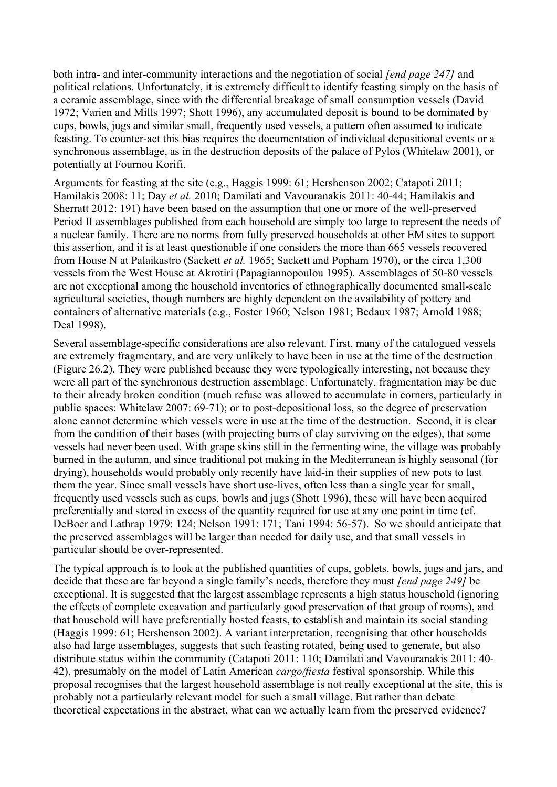both intra- and inter-community interactions and the negotiation of social *[end page 247]* and political relations. Unfortunately, it is extremely difficult to identify feasting simply on the basis of a ceramic assemblage, since with the differential breakage of small consumption vessels (David 1972; Varien and Mills 1997; Shott 1996), any accumulated deposit is bound to be dominated by cups, bowls, jugs and similar small, frequently used vessels, a pattern often assumed to indicate feasting. To counter-act this bias requires the documentation of individual depositional events or a synchronous assemblage, as in the destruction deposits of the palace of Pylos (Whitelaw 2001), or potentially at Fournou Korifi.

Arguments for feasting at the site (e.g., Haggis 1999: 61; Hershenson 2002; Catapoti 2011; Hamilakis 2008: 11; Day *et al.* 2010; Damilati and Vavouranakis 2011: 40-44; Hamilakis and Sherratt 2012: 191) have been based on the assumption that one or more of the well-preserved Period II assemblages published from each household are simply too large to represent the needs of a nuclear family. There are no norms from fully preserved households at other EM sites to support this assertion, and it is at least questionable if one considers the more than 665 vessels recovered from House N at Palaikastro (Sackett *et al.* 1965; Sackett and Popham 1970), or the circa 1,300 vessels from the West House at Akrotiri (Papagiannopoulou 1995). Assemblages of 50-80 vessels are not exceptional among the household inventories of ethnographically documented small-scale agricultural societies, though numbers are highly dependent on the availability of pottery and containers of alternative materials (e.g., Foster 1960; Nelson 1981; Bedaux 1987; Arnold 1988; Deal 1998).

Several assemblage-specific considerations are also relevant. First, many of the catalogued vessels are extremely fragmentary, and are very unlikely to have been in use at the time of the destruction (Figure 26.2). They were published because they were typologically interesting, not because they were all part of the synchronous destruction assemblage. Unfortunately, fragmentation may be due to their already broken condition (much refuse was allowed to accumulate in corners, particularly in public spaces: Whitelaw 2007: 69-71); or to post-depositional loss, so the degree of preservation alone cannot determine which vessels were in use at the time of the destruction. Second, it is clear from the condition of their bases (with projecting burrs of clay surviving on the edges), that some vessels had never been used. With grape skins still in the fermenting wine, the village was probably burned in the autumn, and since traditional pot making in the Mediterranean is highly seasonal (for drying), households would probably only recently have laid-in their supplies of new pots to last them the year. Since small vessels have short use-lives, often less than a single year for small, frequently used vessels such as cups, bowls and jugs (Shott 1996), these will have been acquired preferentially and stored in excess of the quantity required for use at any one point in time (cf. DeBoer and Lathrap 1979: 124; Nelson 1991: 171; Tani 1994: 56-57). So we should anticipate that the preserved assemblages will be larger than needed for daily use, and that small vessels in particular should be over-represented.

The typical approach is to look at the published quantities of cups, goblets, bowls, jugs and jars, and decide that these are far beyond a single family's needs, therefore they must *[end page 249]* be exceptional. It is suggested that the largest assemblage represents a high status household (ignoring the effects of complete excavation and particularly good preservation of that group of rooms), and that household will have preferentially hosted feasts, to establish and maintain its social standing (Haggis 1999: 61; Hershenson 2002). A variant interpretation, recognising that other households also had large assemblages, suggests that such feasting rotated, being used to generate, but also distribute status within the community (Catapoti 2011: 110; Damilati and Vavouranakis 2011: 40- 42), presumably on the model of Latin American *cargo/fiesta* festival sponsorship. While this proposal recognises that the largest household assemblage is not really exceptional at the site, this is probably not a particularly relevant model for such a small village. But rather than debate theoretical expectations in the abstract, what can we actually learn from the preserved evidence?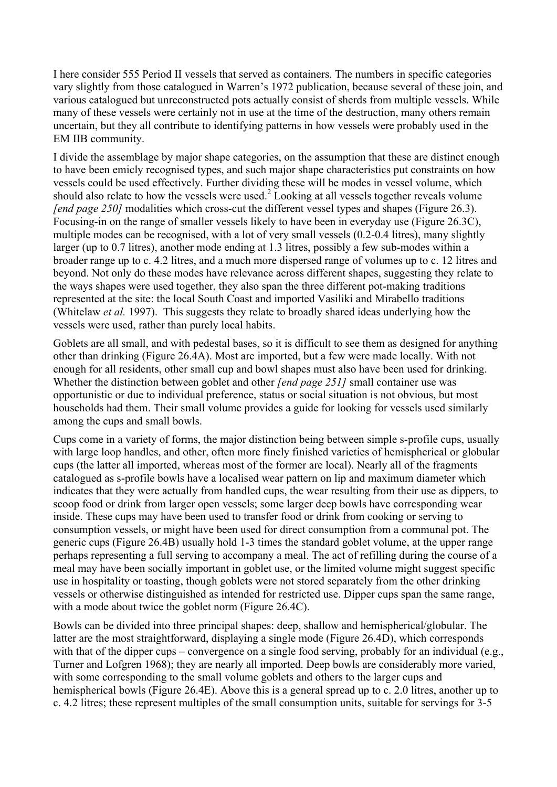I here consider 555 Period II vessels that served as containers. The numbers in specific categories vary slightly from those catalogued in Warren's 1972 publication, because several of these join, and various catalogued but unreconstructed pots actually consist of sherds from multiple vessels. While many of these vessels were certainly not in use at the time of the destruction, many others remain uncertain, but they all contribute to identifying patterns in how vessels were probably used in the EM IIB community.

I divide the assemblage by major shape categories, on the assumption that these are distinct enough to have been emicly recognised types, and such major shape characteristics put constraints on how vessels could be used effectively. Further dividing these will be modes in vessel volume, which should also relate to how the vessels were used.<sup>2</sup> Looking at all vessels together reveals volume *[end page 250]* modalities which cross-cut the different vessel types and shapes (Figure 26.3). Focusing-in on the range of smaller vessels likely to have been in everyday use (Figure 26.3C), multiple modes can be recognised, with a lot of very small vessels (0.2-0.4 litres), many slightly larger (up to 0.7 litres), another mode ending at 1.3 litres, possibly a few sub-modes within a broader range up to c. 4.2 litres, and a much more dispersed range of volumes up to c. 12 litres and beyond. Not only do these modes have relevance across different shapes, suggesting they relate to the ways shapes were used together, they also span the three different pot-making traditions represented at the site: the local South Coast and imported Vasiliki and Mirabello traditions (Whitelaw *et al.* 1997). This suggests they relate to broadly shared ideas underlying how the vessels were used, rather than purely local habits.

Goblets are all small, and with pedestal bases, so it is difficult to see them as designed for anything other than drinking (Figure 26.4A). Most are imported, but a few were made locally. With not enough for all residents, other small cup and bowl shapes must also have been used for drinking. Whether the distinction between goblet and other *[end page 251]* small container use was opportunistic or due to individual preference, status or social situation is not obvious, but most households had them. Their small volume provides a guide for looking for vessels used similarly among the cups and small bowls.

Cups come in a variety of forms, the major distinction being between simple s-profile cups, usually with large loop handles, and other, often more finely finished varieties of hemispherical or globular cups (the latter all imported, whereas most of the former are local). Nearly all of the fragments catalogued as s-profile bowls have a localised wear pattern on lip and maximum diameter which indicates that they were actually from handled cups, the wear resulting from their use as dippers, to scoop food or drink from larger open vessels; some larger deep bowls have corresponding wear inside. These cups may have been used to transfer food or drink from cooking or serving to consumption vessels, or might have been used for direct consumption from a communal pot. The generic cups (Figure 26.4B) usually hold 1-3 times the standard goblet volume, at the upper range perhaps representing a full serving to accompany a meal. The act of refilling during the course of a meal may have been socially important in goblet use, or the limited volume might suggest specific use in hospitality or toasting, though goblets were not stored separately from the other drinking vessels or otherwise distinguished as intended for restricted use. Dipper cups span the same range, with a mode about twice the goblet norm (Figure 26.4C).

Bowls can be divided into three principal shapes: deep, shallow and hemispherical/globular. The latter are the most straightforward, displaying a single mode (Figure 26.4D), which corresponds with that of the dipper cups – convergence on a single food serving, probably for an individual (e.g., Turner and Lofgren 1968); they are nearly all imported. Deep bowls are considerably more varied, with some corresponding to the small volume goblets and others to the larger cups and hemispherical bowls (Figure 26.4E). Above this is a general spread up to c. 2.0 litres, another up to c. 4.2 litres; these represent multiples of the small consumption units, suitable for servings for 3-5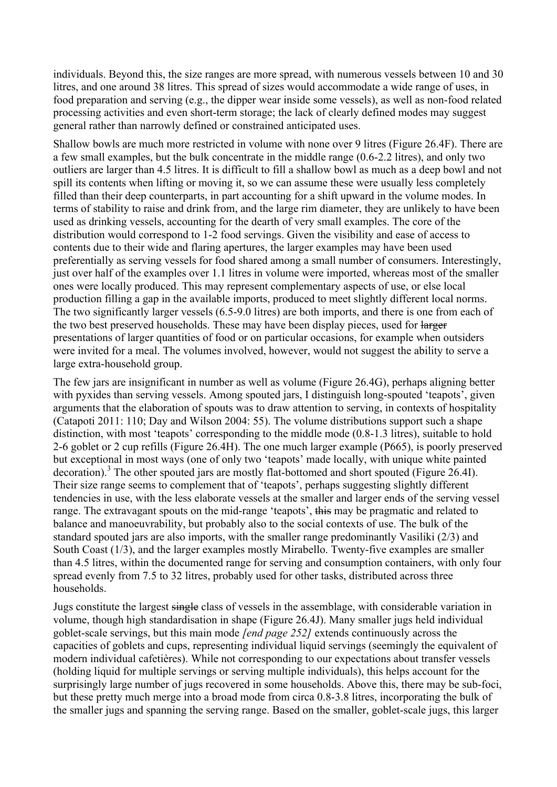individuals. Beyond this, the size ranges are more spread, with numerous vessels between 10 and 30 litres, and one around 38 litres. This spread of sizes would accommodate a wide range of uses, in food preparation and serving (e.g., the dipper wear inside some vessels), as well as non-food related processing activities and even short-term storage; the lack of clearly defined modes may suggest general rather than narrowly defined or constrained anticipated uses.

Shallow bowls are much more restricted in volume with none over 9 litres (Figure 26.4F). There are a few small examples, but the bulk concentrate in the middle range (0.6-2.2 litres), and only two outliers are larger than 4.5 litres. It is difficult to fill a shallow bowl as much as a deep bowl and not spill its contents when lifting or moving it, so we can assume these were usually less completely filled than their deep counterparts, in part accounting for a shift upward in the volume modes. In terms of stability to raise and drink from, and the large rim diameter, they are unlikely to have been used as drinking vessels, accounting for the dearth of very small examples. The core of the distribution would correspond to 1-2 food servings. Given the visibility and ease of access to contents due to their wide and flaring apertures, the larger examples may have been used preferentially as serving vessels for food shared among a small number of consumers. Interestingly, just over half of the examples over 1.1 litres in volume were imported, whereas most of the smaller ones were locally produced. This may represent complementary aspects of use, or else local production filling a gap in the available imports, produced to meet slightly different local norms. The two significantly larger vessels (6.5-9.0 litres) are both imports, and there is one from each of the two best preserved households. These may have been display pieces, used for larger presentations of larger quantities of food or on particular occasions, for example when outsiders were invited for a meal. The volumes involved, however, would not suggest the ability to serve a large extra-household group.

The few jars are insignificant in number as well as volume (Figure 26.4G), perhaps aligning better with pyxides than serving vessels. Among spouted jars, I distinguish long-spouted 'teapots', given arguments that the elaboration of spouts was to draw attention to serving, in contexts of hospitality (Catapoti 2011: 110; Day and Wilson 2004: 55). The volume distributions support such a shape distinction, with most 'teapots' corresponding to the middle mode (0.8-1.3 litres), suitable to hold 2-6 goblet or 2 cup refills (Figure 26.4H). The one much larger example (P665), is poorly preserved but exceptional in most ways (one of only two 'teapots' made locally, with unique white painted decoration).<sup>3</sup> The other spouted jars are mostly flat-bottomed and short spouted (Figure 26.4I). Their size range seems to complement that of 'teapots', perhaps suggesting slightly different tendencies in use, with the less elaborate vessels at the smaller and larger ends of the serving vessel range. The extravagant spouts on the mid-range 'teapots', this may be pragmatic and related to balance and manoeuvrability, but probably also to the social contexts of use. The bulk of the standard spouted jars are also imports, with the smaller range predominantly Vasiliki (2/3) and South Coast (1/3), and the larger examples mostly Mirabello. Twenty-five examples are smaller than 4.5 litres, within the documented range for serving and consumption containers, with only four spread evenly from 7.5 to 32 litres, probably used for other tasks, distributed across three households.

Jugs constitute the largest single class of vessels in the assemblage, with considerable variation in volume, though high standardisation in shape (Figure 26.4J). Many smaller jugs held individual goblet-scale servings, but this main mode *[end page 252]* extends continuously across the capacities of goblets and cups, representing individual liquid servings (seemingly the equivalent of modern individual cafetières). While not corresponding to our expectations about transfer vessels (holding liquid for multiple servings or serving multiple individuals), this helps account for the surprisingly large number of jugs recovered in some households. Above this, there may be sub-foci, but these pretty much merge into a broad mode from circa 0.8-3.8 litres, incorporating the bulk of the smaller jugs and spanning the serving range. Based on the smaller, goblet-scale jugs, this larger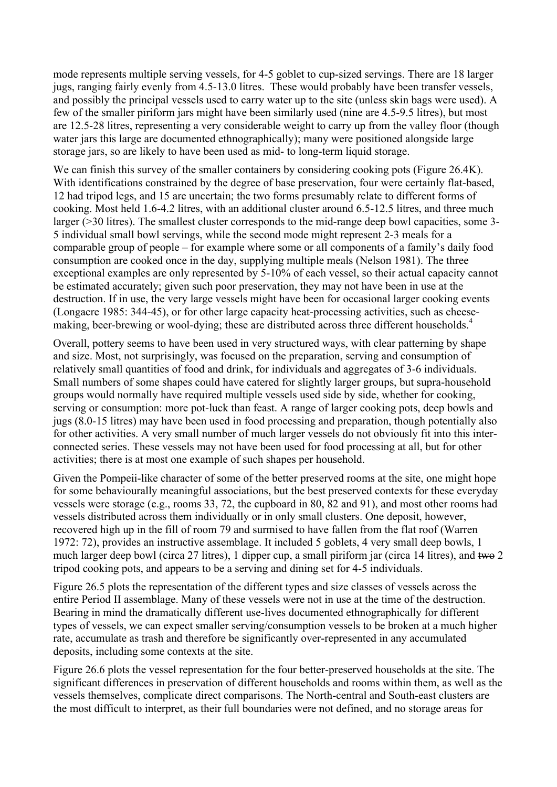mode represents multiple serving vessels, for 4-5 goblet to cup-sized servings. There are 18 larger jugs, ranging fairly evenly from 4.5-13.0 litres. These would probably have been transfer vessels, and possibly the principal vessels used to carry water up to the site (unless skin bags were used). A few of the smaller piriform jars might have been similarly used (nine are 4.5-9.5 litres), but most are 12.5-28 litres, representing a very considerable weight to carry up from the valley floor (though water jars this large are documented ethnographically); many were positioned alongside large storage jars, so are likely to have been used as mid- to long-term liquid storage.

We can finish this survey of the smaller containers by considering cooking pots (Figure 26.4K). With identifications constrained by the degree of base preservation, four were certainly flat-based, 12 had tripod legs, and 15 are uncertain; the two forms presumably relate to different forms of cooking. Most held 1.6-4.2 litres, with an additional cluster around 6.5-12.5 litres, and three much larger (>30 litres). The smallest cluster corresponds to the mid-range deep bowl capacities, some 3-5 individual small bowl servings, while the second mode might represent 2-3 meals for a comparable group of people – for example where some or all components of a family's daily food consumption are cooked once in the day, supplying multiple meals (Nelson 1981). The three exceptional examples are only represented by 5-10% of each vessel, so their actual capacity cannot be estimated accurately; given such poor preservation, they may not have been in use at the destruction. If in use, the very large vessels might have been for occasional larger cooking events (Longacre 1985: 344-45), or for other large capacity heat-processing activities, such as cheesemaking, beer-brewing or wool-dying; these are distributed across three different households.<sup>4</sup>

Overall, pottery seems to have been used in very structured ways, with clear patterning by shape and size. Most, not surprisingly, was focused on the preparation, serving and consumption of relatively small quantities of food and drink, for individuals and aggregates of 3-6 individuals. Small numbers of some shapes could have catered for slightly larger groups, but supra-household groups would normally have required multiple vessels used side by side, whether for cooking, serving or consumption: more pot-luck than feast. A range of larger cooking pots, deep bowls and jugs (8.0-15 litres) may have been used in food processing and preparation, though potentially also for other activities. A very small number of much larger vessels do not obviously fit into this interconnected series. These vessels may not have been used for food processing at all, but for other activities; there is at most one example of such shapes per household.

Given the Pompeii-like character of some of the better preserved rooms at the site, one might hope for some behaviourally meaningful associations, but the best preserved contexts for these everyday vessels were storage (e.g., rooms 33, 72, the cupboard in 80, 82 and 91), and most other rooms had vessels distributed across them individually or in only small clusters. One deposit, however, recovered high up in the fill of room 79 and surmised to have fallen from the flat roof (Warren 1972: 72), provides an instructive assemblage. It included 5 goblets, 4 very small deep bowls, 1 much larger deep bowl (circa 27 litres), 1 dipper cup, a small piriform jar (circa 14 litres), and two 2 tripod cooking pots, and appears to be a serving and dining set for 4-5 individuals.

Figure 26.5 plots the representation of the different types and size classes of vessels across the entire Period II assemblage. Many of these vessels were not in use at the time of the destruction. Bearing in mind the dramatically different use-lives documented ethnographically for different types of vessels, we can expect smaller serving/consumption vessels to be broken at a much higher rate, accumulate as trash and therefore be significantly over-represented in any accumulated deposits, including some contexts at the site.

Figure 26.6 plots the vessel representation for the four better-preserved households at the site. The significant differences in preservation of different households and rooms within them, as well as the vessels themselves, complicate direct comparisons. The North-central and South-east clusters are the most difficult to interpret, as their full boundaries were not defined, and no storage areas for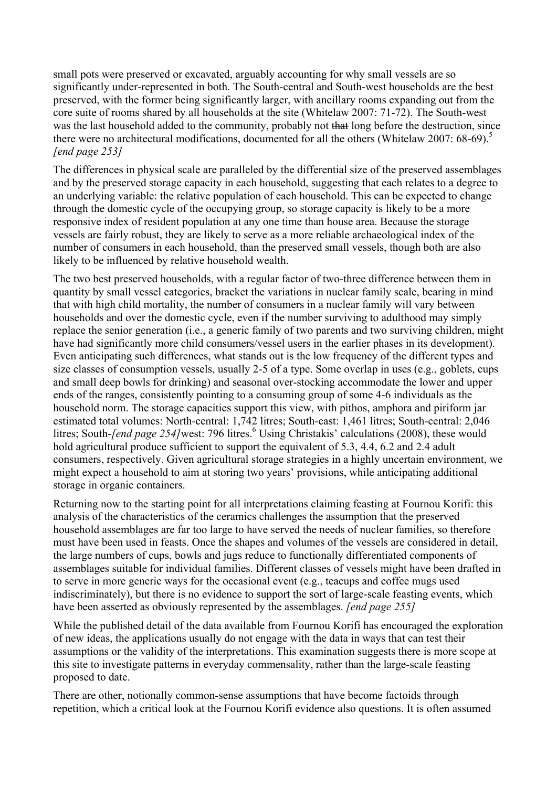small pots were preserved or excavated, arguably accounting for why small vessels are so significantly under-represented in both. The South-central and South-west households are the best preserved, with the former being significantly larger, with ancillary rooms expanding out from the core suite of rooms shared by all households at the site (Whitelaw 2007: 71-72). The South-west was the last household added to the community, probably not that long before the destruction, since there were no architectural modifications, documented for all the others (Whitelaw 2007: 68-69).<sup>5</sup> *[end page 253]*

The differences in physical scale are paralleled by the differential size of the preserved assemblages and by the preserved storage capacity in each household, suggesting that each relates to a degree to an underlying variable: the relative population of each household. This can be expected to change through the domestic cycle of the occupying group, so storage capacity is likely to be a more responsive index of resident population at any one time than house area. Because the storage vessels are fairly robust, they are likely to serve as a more reliable archaeological index of the number of consumers in each household, than the preserved small vessels, though both are also likely to be influenced by relative household wealth.

The two best preserved households, with a regular factor of two-three difference between them in quantity by small vessel categories, bracket the variations in nuclear family scale, bearing in mind that with high child mortality, the number of consumers in a nuclear family will vary between households and over the domestic cycle, even if the number surviving to adulthood may simply replace the senior generation (i.e., a generic family of two parents and two surviving children, might have had significantly more child consumers/vessel users in the earlier phases in its development). Even anticipating such differences, what stands out is the low frequency of the different types and size classes of consumption vessels, usually 2-5 of a type. Some overlap in uses (e.g., goblets, cups and small deep bowls for drinking) and seasonal over-stocking accommodate the lower and upper ends of the ranges, consistently pointing to a consuming group of some 4-6 individuals as the household norm. The storage capacities support this view, with pithos, amphora and piriform jar estimated total volumes: North-central: 1,742 litres; South-east: 1,461 litres; South-central: 2,046 litres; South-*[end page 254]*west: 796 litres. <sup>6</sup> Using Christakis' calculations (2008), these would hold agricultural produce sufficient to support the equivalent of 5.3, 4.4, 6.2 and 2.4 adult consumers, respectively. Given agricultural storage strategies in a highly uncertain environment, we might expect a household to aim at storing two years' provisions, while anticipating additional storage in organic containers.

Returning now to the starting point for all interpretations claiming feasting at Fournou Korifi: this analysis of the characteristics of the ceramics challenges the assumption that the preserved household assemblages are far too large to have served the needs of nuclear families, so therefore must have been used in feasts. Once the shapes and volumes of the vessels are considered in detail, the large numbers of cups, bowls and jugs reduce to functionally differentiated components of assemblages suitable for individual families. Different classes of vessels might have been drafted in to serve in more generic ways for the occasional event (e.g., teacups and coffee mugs used indiscriminately), but there is no evidence to support the sort of large-scale feasting events, which have been asserted as obviously represented by the assemblages. *[end page 255]*

While the published detail of the data available from Fournou Korifi has encouraged the exploration of new ideas, the applications usually do not engage with the data in ways that can test their assumptions or the validity of the interpretations. This examination suggests there is more scope at this site to investigate patterns in everyday commensality, rather than the large-scale feasting proposed to date.

There are other, notionally common-sense assumptions that have become factoids through repetition, which a critical look at the Fournou Korifi evidence also questions. It is often assumed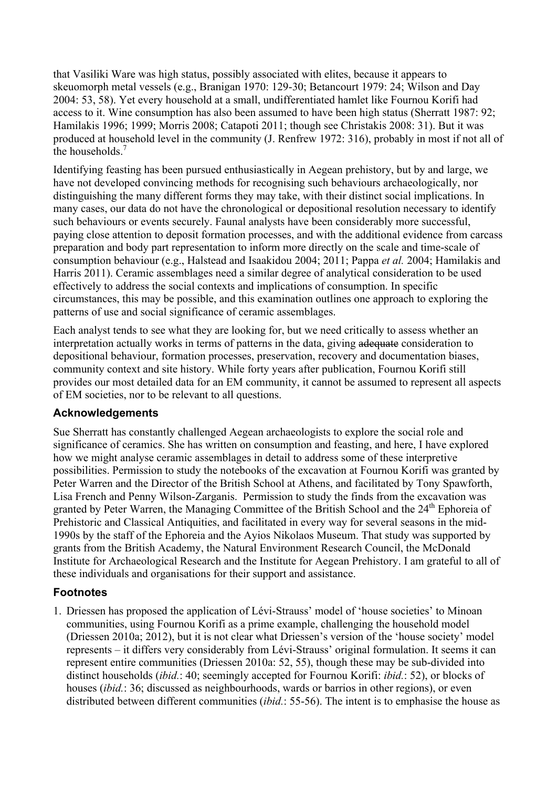that Vasiliki Ware was high status, possibly associated with elites, because it appears to skeuomorph metal vessels (e.g., Branigan 1970: 129-30; Betancourt 1979: 24; Wilson and Day 2004: 53, 58). Yet every household at a small, undifferentiated hamlet like Fournou Korifi had access to it. Wine consumption has also been assumed to have been high status (Sherratt 1987: 92; Hamilakis 1996; 1999; Morris 2008; Catapoti 2011; though see Christakis 2008: 31). But it was produced at household level in the community (J. Renfrew 1972: 316), probably in most if not all of the households.<sup>7</sup>

Identifying feasting has been pursued enthusiastically in Aegean prehistory, but by and large, we have not developed convincing methods for recognising such behaviours archaeologically, nor distinguishing the many different forms they may take, with their distinct social implications. In many cases, our data do not have the chronological or depositional resolution necessary to identify such behaviours or events securely. Faunal analysts have been considerably more successful, paying close attention to deposit formation processes, and with the additional evidence from carcass preparation and body part representation to inform more directly on the scale and time-scale of consumption behaviour (e.g., Halstead and Isaakidou 2004; 2011; Pappa *et al.* 2004; Hamilakis and Harris 2011). Ceramic assemblages need a similar degree of analytical consideration to be used effectively to address the social contexts and implications of consumption. In specific circumstances, this may be possible, and this examination outlines one approach to exploring the patterns of use and social significance of ceramic assemblages.

Each analyst tends to see what they are looking for, but we need critically to assess whether an interpretation actually works in terms of patterns in the data, giving adequate consideration to depositional behaviour, formation processes, preservation, recovery and documentation biases, community context and site history. While forty years after publication, Fournou Korifi still provides our most detailed data for an EM community, it cannot be assumed to represent all aspects of EM societies, nor to be relevant to all questions.

## **Acknowledgements**

Sue Sherratt has constantly challenged Aegean archaeologists to explore the social role and significance of ceramics. She has written on consumption and feasting, and here, I have explored how we might analyse ceramic assemblages in detail to address some of these interpretive possibilities. Permission to study the notebooks of the excavation at Fournou Korifi was granted by Peter Warren and the Director of the British School at Athens, and facilitated by Tony Spawforth, Lisa French and Penny Wilson-Zarganis. Permission to study the finds from the excavation was granted by Peter Warren, the Managing Committee of the British School and the 24<sup>th</sup> Ephoreia of Prehistoric and Classical Antiquities, and facilitated in every way for several seasons in the mid-1990s by the staff of the Ephoreia and the Ayios Nikolaos Museum. That study was supported by grants from the British Academy, the Natural Environment Research Council, the McDonald Institute for Archaeological Research and the Institute for Aegean Prehistory. I am grateful to all of these individuals and organisations for their support and assistance.

## **Footnotes**

1. Driessen has proposed the application of Lévi-Strauss' model of 'house societies' to Minoan communities, using Fournou Korifi as a prime example, challenging the household model (Driessen 2010a; 2012), but it is not clear what Driessen's version of the 'house society' model represents – it differs very considerably from Lévi-Strauss' original formulation. It seems it can represent entire communities (Driessen 2010a: 52, 55), though these may be sub-divided into distinct households (*ibid.*: 40; seemingly accepted for Fournou Korifi: *ibid.*: 52), or blocks of houses (*ibid.*: 36; discussed as neighbourhoods, wards or barrios in other regions), or even distributed between different communities (*ibid.*: 55-56). The intent is to emphasise the house as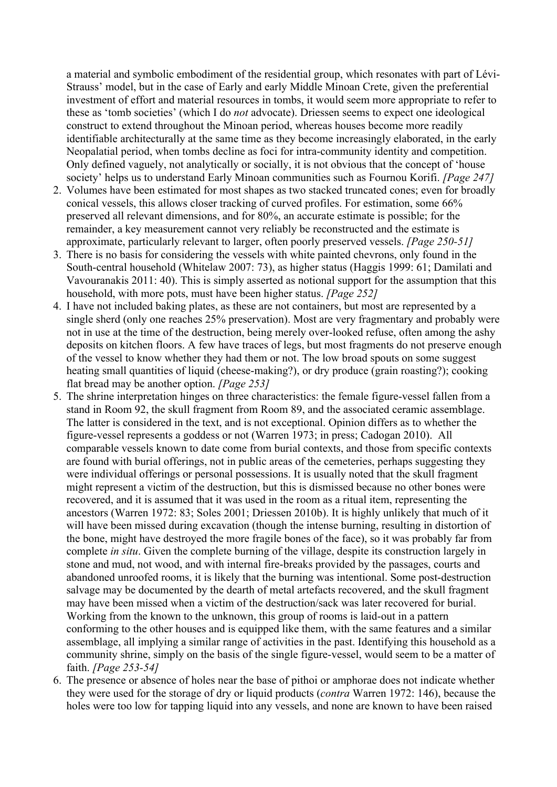a material and symbolic embodiment of the residential group, which resonates with part of Lévi-Strauss' model, but in the case of Early and early Middle Minoan Crete, given the preferential investment of effort and material resources in tombs, it would seem more appropriate to refer to these as 'tomb societies' (which I do *not* advocate). Driessen seems to expect one ideological construct to extend throughout the Minoan period, whereas houses become more readily identifiable architecturally at the same time as they become increasingly elaborated, in the early Neopalatial period, when tombs decline as foci for intra-community identity and competition. Only defined vaguely, not analytically or socially, it is not obvious that the concept of 'house society' helps us to understand Early Minoan communities such as Fournou Korifi. *[Page 247]*

- 2. Volumes have been estimated for most shapes as two stacked truncated cones; even for broadly conical vessels, this allows closer tracking of curved profiles. For estimation, some 66% preserved all relevant dimensions, and for 80%, an accurate estimate is possible; for the remainder, a key measurement cannot very reliably be reconstructed and the estimate is approximate, particularly relevant to larger, often poorly preserved vessels. *[Page 250-51]*
- 3. There is no basis for considering the vessels with white painted chevrons, only found in the South-central household (Whitelaw 2007: 73), as higher status (Haggis 1999: 61; Damilati and Vavouranakis 2011: 40). This is simply asserted as notional support for the assumption that this household, with more pots, must have been higher status. *[Page 252]*
- 4. I have not included baking plates, as these are not containers, but most are represented by a single sherd (only one reaches 25% preservation). Most are very fragmentary and probably were not in use at the time of the destruction, being merely over-looked refuse, often among the ashy deposits on kitchen floors. A few have traces of legs, but most fragments do not preserve enough of the vessel to know whether they had them or not. The low broad spouts on some suggest heating small quantities of liquid (cheese-making?), or dry produce (grain roasting?); cooking flat bread may be another option. *[Page 253]*
- 5. The shrine interpretation hinges on three characteristics: the female figure-vessel fallen from a stand in Room 92, the skull fragment from Room 89, and the associated ceramic assemblage. The latter is considered in the text, and is not exceptional. Opinion differs as to whether the figure-vessel represents a goddess or not (Warren 1973; in press; Cadogan 2010). All comparable vessels known to date come from burial contexts, and those from specific contexts are found with burial offerings, not in public areas of the cemeteries, perhaps suggesting they were individual offerings or personal possessions. It is usually noted that the skull fragment might represent a victim of the destruction, but this is dismissed because no other bones were recovered, and it is assumed that it was used in the room as a ritual item, representing the ancestors (Warren 1972: 83; Soles 2001; Driessen 2010b). It is highly unlikely that much of it will have been missed during excavation (though the intense burning, resulting in distortion of the bone, might have destroyed the more fragile bones of the face), so it was probably far from complete *in situ*. Given the complete burning of the village, despite its construction largely in stone and mud, not wood, and with internal fire-breaks provided by the passages, courts and abandoned unroofed rooms, it is likely that the burning was intentional. Some post-destruction salvage may be documented by the dearth of metal artefacts recovered, and the skull fragment may have been missed when a victim of the destruction/sack was later recovered for burial. Working from the known to the unknown, this group of rooms is laid-out in a pattern conforming to the other houses and is equipped like them, with the same features and a similar assemblage, all implying a similar range of activities in the past. Identifying this household as a community shrine, simply on the basis of the single figure-vessel, would seem to be a matter of faith. *[Page 253-54]*
- 6. The presence or absence of holes near the base of pithoi or amphorae does not indicate whether they were used for the storage of dry or liquid products (*contra* Warren 1972: 146), because the holes were too low for tapping liquid into any vessels, and none are known to have been raised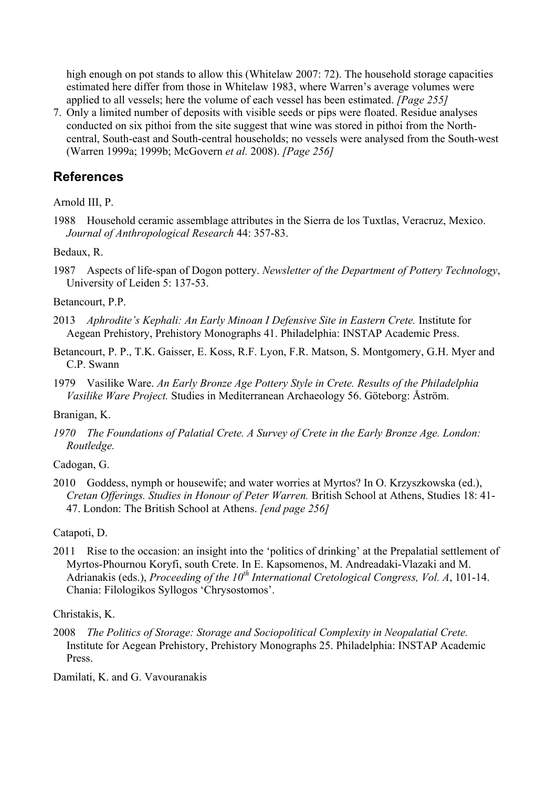high enough on pot stands to allow this (Whitelaw 2007: 72). The household storage capacities estimated here differ from those in Whitelaw 1983, where Warren's average volumes were applied to all vessels; here the volume of each vessel has been estimated. *[Page 255]*

7. Only a limited number of deposits with visible seeds or pips were floated. Residue analyses conducted on six pithoi from the site suggest that wine was stored in pithoi from the Northcentral, South-east and South-central households; no vessels were analysed from the South-west (Warren 1999a; 1999b; McGovern *et al.* 2008). *[Page 256]*

# **References**

Arnold III, P.

1988 Household ceramic assemblage attributes in the Sierra de los Tuxtlas, Veracruz, Mexico. *Journal of Anthropological Research* 44: 357-83.

Bedaux, R.

1987 Aspects of life-span of Dogon pottery. *Newsletter of the Department of Pottery Technology*, University of Leiden 5: 137-53.

#### Betancourt, P.P.

- 2013 *Aphrodite's Kephali: An Early Minoan I Defensive Site in Eastern Crete.* Institute for Aegean Prehistory, Prehistory Monographs 41. Philadelphia: INSTAP Academic Press.
- Betancourt, P. P., T.K. Gaisser, E. Koss, R.F. Lyon, F.R. Matson, S. Montgomery, G.H. Myer and C.P. Swann

1979 Vasilike Ware. *An Early Bronze Age Pottery Style in Crete. Results of the Philadelphia Vasilike Ware Project.* Studies in Mediterranean Archaeology 56. Göteborg: Åström.

## Branigan, K.

*1970 The Foundations of Palatial Crete. A Survey of Crete in the Early Bronze Age. London: Routledge.*

## Cadogan, G.

2010 Goddess, nymph or housewife; and water worries at Myrtos? In O. Krzyszkowska (ed.), *Cretan Offerings. Studies in Honour of Peter Warren.* British School at Athens, Studies 18: 41- 47. London: The British School at Athens. *[end page 256]*

## Catapoti, D.

2011 Rise to the occasion: an insight into the 'politics of drinking' at the Prepalatial settlement of Myrtos-Phournou Koryfi, south Crete. In E. Kapsomenos, M. Andreadaki-Vlazaki and M. Adrianakis (eds.), *Proceeding of the 10th International Cretological Congress, Vol. A*, 101-14. Chania: Filologikos Syllogos 'Chrysostomos'.

## Christakis, K.

2008 *The Politics of Storage: Storage and Sociopolitical Complexity in Neopalatial Crete.*  Institute for Aegean Prehistory, Prehistory Monographs 25. Philadelphia: INSTAP Academic Press.

Damilati, K. and G. Vavouranakis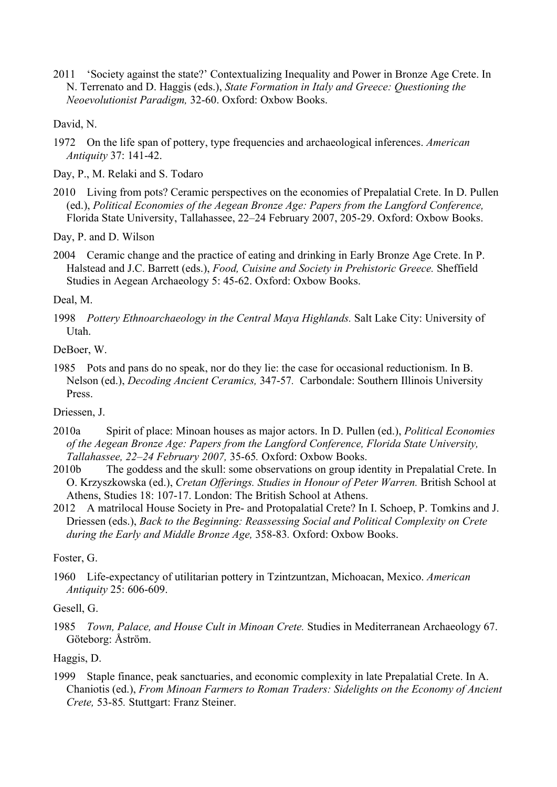2011 'Society against the state?' Contextualizing Inequality and Power in Bronze Age Crete. In N. Terrenato and D. Haggis (eds.), *State Formation in Italy and Greece: Questioning the Neoevolutionist Paradigm,* 32-60. Oxford: Oxbow Books.

David, N.

1972 On the life span of pottery, type frequencies and archaeological inferences. *American Antiquity* 37: 141-42.

Day, P., M. Relaki and S. Todaro

2010 Living from pots? Ceramic perspectives on the economies of Prepalatial Crete. In D. Pullen (ed.), *Political Economies of the Aegean Bronze Age: Papers from the Langford Conference,* Florida State University, Tallahassee, 22–24 February 2007, 205-29. Oxford: Oxbow Books.

Day, P. and D. Wilson

2004 Ceramic change and the practice of eating and drinking in Early Bronze Age Crete. In P. Halstead and J.C. Barrett (eds.), *Food, Cuisine and Society in Prehistoric Greece.* Sheffield Studies in Aegean Archaeology 5: 45-62. Oxford: Oxbow Books.

Deal, M.

1998 *Pottery Ethnoarchaeology in the Central Maya Highlands.* Salt Lake City: University of Utah.

DeBoer, W.

1985 Pots and pans do no speak, nor do they lie: the case for occasional reductionism. In B. Nelson (ed.), *Decoding Ancient Ceramics,* 347-57*.* Carbondale: Southern Illinois University Press.

Driessen, J.

- 2010a Spirit of place: Minoan houses as major actors. In D. Pullen (ed.), *Political Economies of the Aegean Bronze Age: Papers from the Langford Conference, Florida State University, Tallahassee, 22–24 February 2007,* 35-65*.* Oxford: Oxbow Books.
- 2010b The goddess and the skull: some observations on group identity in Prepalatial Crete. In O. Krzyszkowska (ed.), *Cretan Offerings. Studies in Honour of Peter Warren.* British School at Athens, Studies 18: 107-17. London: The British School at Athens.
- 2012 A matrilocal House Society in Pre- and Protopalatial Crete? In I. Schoep, P. Tomkins and J. Driessen (eds.), *Back to the Beginning: Reassessing Social and Political Complexity on Crete during the Early and Middle Bronze Age,* 358-83*.* Oxford: Oxbow Books.

Foster, G.

1960 Life-expectancy of utilitarian pottery in Tzintzuntzan, Michoacan, Mexico. *American Antiquity* 25: 606-609.

Gesell, G.

1985 *Town, Palace, and House Cult in Minoan Crete.* Studies in Mediterranean Archaeology 67. Göteborg: Åström.

Haggis, D.

1999 Staple finance, peak sanctuaries, and economic complexity in late Prepalatial Crete. In A. Chaniotis (ed.), *From Minoan Farmers to Roman Traders: Sidelights on the Economy of Ancient Crete,* 53-85*.* Stuttgart: Franz Steiner.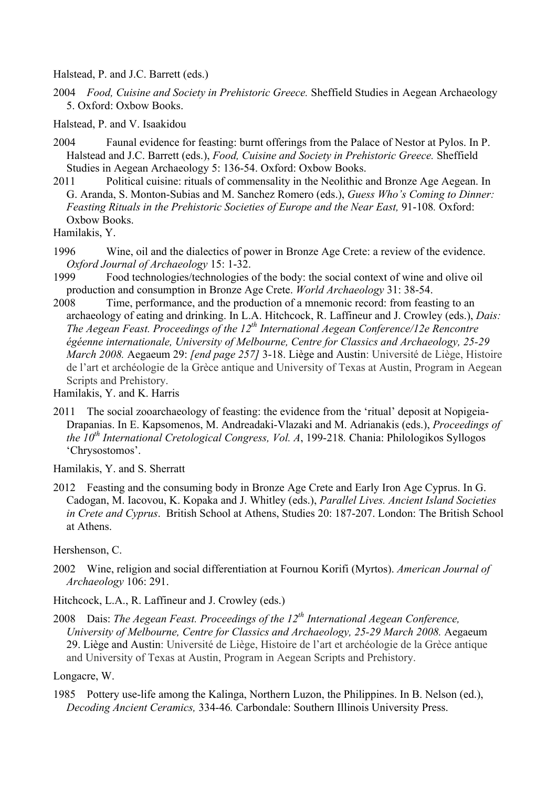Halstead, P. and J.C. Barrett (eds.)

2004 *Food, Cuisine and Society in Prehistoric Greece.* Sheffield Studies in Aegean Archaeology 5. Oxford: Oxbow Books.

Halstead, P. and V. Isaakidou

- 2004 Faunal evidence for feasting: burnt offerings from the Palace of Nestor at Pylos. In P. Halstead and J.C. Barrett (eds.), *Food, Cuisine and Society in Prehistoric Greece.* Sheffield Studies in Aegean Archaeology 5: 136-54. Oxford: Oxbow Books.
- 2011 Political cuisine: rituals of commensality in the Neolithic and Bronze Age Aegean. In G. Aranda, S. Monton-Subias and M. Sanchez Romero (eds.), *Guess Who's Coming to Dinner: Feasting Rituals in the Prehistoric Societies of Europe and the Near East,* 91-108*.* Oxford: Oxbow Books.

Hamilakis, Y.

- 1996 Wine, oil and the dialectics of power in Bronze Age Crete: a review of the evidence. *Oxford Journal of Archaeology* 15: 1-32.
- 1999 Food technologies/technologies of the body: the social context of wine and olive oil production and consumption in Bronze Age Crete. *World Archaeology* 31: 38-54.
- 2008 Time, performance, and the production of a mnemonic record: from feasting to an archaeology of eating and drinking. In L.A. Hitchcock, R. Laffineur and J. Crowley (eds.), *Dais: The Aegean Feast. Proceedings of the 12th International Aegean Conference/12e Rencontre égéenne internationale, University of Melbourne, Centre for Classics and Archaeology, 25-29 March 2008.* Aegaeum 29: *[end page 257]* 3-18. Liège and Austin: Université de Liège, Histoire de l'art et archéologie de la Grèce antique and University of Texas at Austin, Program in Aegean Scripts and Prehistory.

Hamilakis, Y. and K. Harris

2011 The social zooarchaeology of feasting: the evidence from the 'ritual' deposit at Nopigeia-Drapanias. In E. Kapsomenos, M. Andreadaki-Vlazaki and M. Adrianakis (eds.), *Proceedings of the 10th International Cretological Congress, Vol. A*, 199-218*.* Chania: Philologikos Syllogos 'Chrysostomos'.

Hamilakis, Y. and S. Sherratt

2012 Feasting and the consuming body in Bronze Age Crete and Early Iron Age Cyprus. In G. Cadogan, M. Iacovou, K. Kopaka and J. Whitley (eds.), *Parallel Lives. Ancient Island Societies in Crete and Cyprus*. British School at Athens, Studies 20: 187-207. London: The British School at Athens.

Hershenson, C.

2002 Wine, religion and social differentiation at Fournou Korifi (Myrtos). *American Journal of Archaeology* 106: 291.

Hitchcock, L.A., R. Laffineur and J. Crowley (eds.)

2008 Dais: *The Aegean Feast. Proceedings of the 12th International Aegean Conference, University of Melbourne, Centre for Classics and Archaeology, 25-29 March 2008.* Aegaeum 29. Liège and Austin: Université de Liège, Histoire de l'art et archéologie de la Grèce antique and University of Texas at Austin, Program in Aegean Scripts and Prehistory.

Longacre, W.

1985 Pottery use-life among the Kalinga, Northern Luzon, the Philippines. In B. Nelson (ed.), *Decoding Ancient Ceramics,* 334-46*.* Carbondale: Southern Illinois University Press.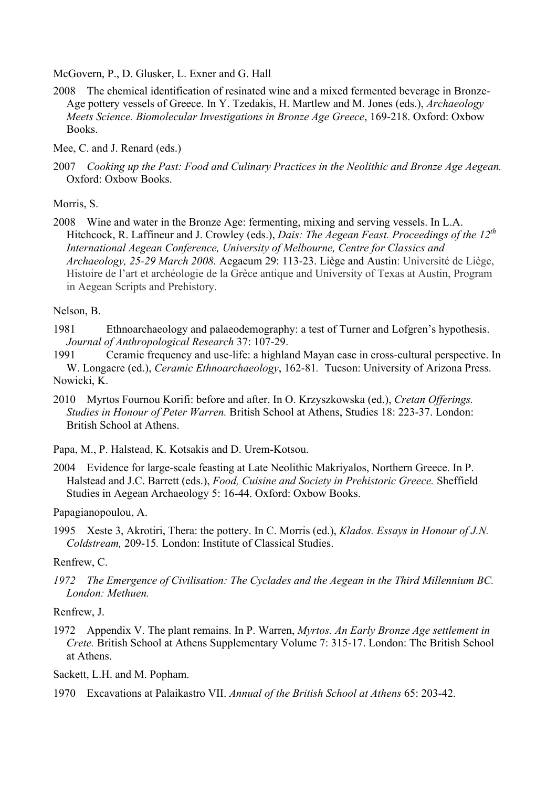McGovern, P., D. Glusker, L. Exner and G. Hall

2008 The chemical identification of resinated wine and a mixed fermented beverage in Bronze-Age pottery vessels of Greece. In Y. Tzedakis, H. Martlew and M. Jones (eds.), *Archaeology Meets Science. Biomolecular Investigations in Bronze Age Greece*, 169-218. Oxford: Oxbow Books.

Mee, C. and J. Renard (eds.)

2007 *Cooking up the Past: Food and Culinary Practices in the Neolithic and Bronze Age Aegean.* Oxford: Oxbow Books.

Morris, S.

2008 Wine and water in the Bronze Age: fermenting, mixing and serving vessels. In L.A. Hitchcock, R. Laffineur and J. Crowley (eds.), *Dais: The Aegean Feast. Proceedings of the 12th International Aegean Conference, University of Melbourne, Centre for Classics and Archaeology, 25-29 March 2008.* Aegaeum 29: 113-23. Liège and Austin: Université de Liège, Histoire de l'art et archéologie de la Grèce antique and University of Texas at Austin, Program in Aegean Scripts and Prehistory.

Nelson, B.

1981 Ethnoarchaeology and palaeodemography: a test of Turner and Lofgren's hypothesis. *Journal of Anthropological Research* 37: 107-29.

1991 Ceramic frequency and use-life: a highland Mayan case in cross-cultural perspective. In W. Longacre (ed.), *Ceramic Ethnoarchaeology*, 162-81*.* Tucson: University of Arizona Press. Nowicki, K.

2010 Myrtos Fournou Korifi: before and after. In O. Krzyszkowska (ed.), *Cretan Offerings. Studies in Honour of Peter Warren.* British School at Athens, Studies 18: 223-37. London: British School at Athens.

Papa, M., P. Halstead, K. Kotsakis and D. Urem-Kotsou.

2004 Evidence for large-scale feasting at Late Neolithic Makriyalos, Northern Greece. In P. Halstead and J.C. Barrett (eds.), *Food, Cuisine and Society in Prehistoric Greece.* Sheffield Studies in Aegean Archaeology 5: 16-44. Oxford: Oxbow Books.

Papagianopoulou, A.

1995 Xeste 3, Akrotiri, Thera: the pottery. In C. Morris (ed.), *Klados. Essays in Honour of J.N. Coldstream,* 209-15*.* London: Institute of Classical Studies.

Renfrew, C.

*1972 The Emergence of Civilisation: The Cyclades and the Aegean in the Third Millennium BC. London: Methuen.*

Renfrew, J.

1972 Appendix V. The plant remains. In P. Warren, *Myrtos. An Early Bronze Age settlement in Crete.* British School at Athens Supplementary Volume 7: 315-17. London: The British School at Athens.

Sackett, L.H. and M. Popham.

1970 Excavations at Palaikastro VII. *Annual of the British School at Athens* 65: 203-42.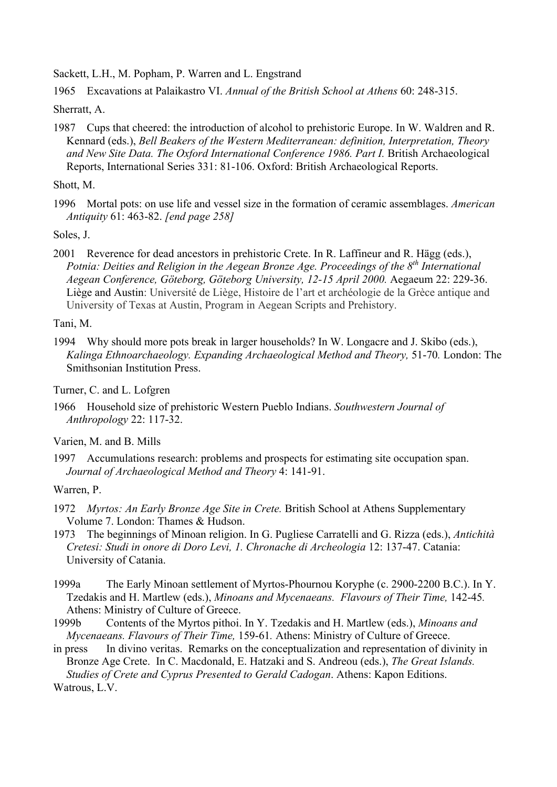Sackett, L.H., M. Popham, P. Warren and L. Engstrand

1965 Excavations at Palaikastro VI. *Annual of the British School at Athens* 60: 248-315.

Sherratt, A.

1987 Cups that cheered: the introduction of alcohol to prehistoric Europe. In W. Waldren and R. Kennard (eds.), *Bell Beakers of the Western Mediterranean: definition, Interpretation, Theory and New Site Data. The Oxford International Conference 1986. Part I.* British Archaeological Reports, International Series 331: 81-106. Oxford: British Archaeological Reports.

Shott, M.

1996 Mortal pots: on use life and vessel size in the formation of ceramic assemblages. *American Antiquity* 61: 463-82. *[end page 258]*

Soles, J.

2001 Reverence for dead ancestors in prehistoric Crete. In R. Laffineur and R. Hägg (eds.), *Potnia: Deities and Religion in the Aegean Bronze Age. Proceedings of the 8th International Aegean Conference, Göteborg, Göteborg University, 12-15 April 2000.* Aegaeum 22: 229-36. Liège and Austin: Université de Liège, Histoire de l'art et archéologie de la Grèce antique and University of Texas at Austin, Program in Aegean Scripts and Prehistory.

Tani, M.

1994 Why should more pots break in larger households? In W. Longacre and J. Skibo (eds.), *Kalinga Ethnoarchaeology. Expanding Archaeological Method and Theory,* 51-70*.* London: The Smithsonian Institution Press.

Turner, C. and L. Lofgren

1966 Household size of prehistoric Western Pueblo Indians. *Southwestern Journal of Anthropology* 22: 117-32.

Varien, M. and B. Mills

1997 Accumulations research: problems and prospects for estimating site occupation span. *Journal of Archaeological Method and Theory* 4: 141-91.

Warren, P.

- 1972 *Myrtos: An Early Bronze Age Site in Crete.* British School at Athens Supplementary Volume 7. London: Thames & Hudson.
- 1973 The beginnings of Minoan religion. In G. Pugliese Carratelli and G. Rizza (eds.), *Antichità Cretesi: Studi in onore di Doro Levi, 1. Chronache di Archeologia* 12: 137-47. Catania: University of Catania.
- 1999a The Early Minoan settlement of Myrtos-Phournou Koryphe (c. 2900-2200 B.C.). In Y. Tzedakis and H. Martlew (eds.), *Minoans and Mycenaeans. Flavours of Their Time,* 142-45*.* Athens: Ministry of Culture of Greece.
- 1999b Contents of the Myrtos pithoi. In Y. Tzedakis and H. Martlew (eds.), *Minoans and Mycenaeans. Flavours of Their Time,* 159-61*.* Athens: Ministry of Culture of Greece.

in press In divino veritas. Remarks on the conceptualization and representation of divinity in Bronze Age Crete. In C. Macdonald, E. Hatzaki and S. Andreou (eds.), *The Great Islands. Studies of Crete and Cyprus Presented to Gerald Cadogan*. Athens: Kapon Editions. Watrous, L.V.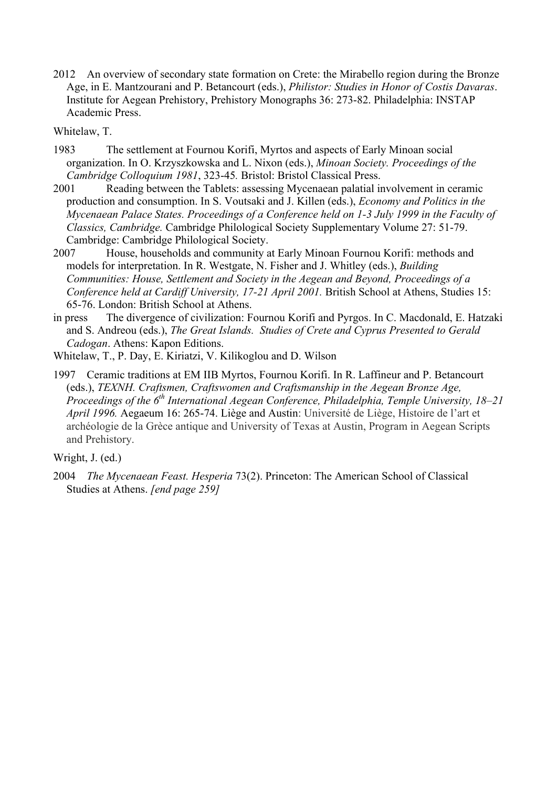2012 An overview of secondary state formation on Crete: the Mirabello region during the Bronze Age, in E. Mantzourani and P. Betancourt (eds.), *Philistor: Studies in Honor of Costis Davaras*. Institute for Aegean Prehistory, Prehistory Monographs 36: 273-82. Philadelphia: INSTAP Academic Press.

Whitelaw, T.

- 1983 The settlement at Fournou Korifi, Myrtos and aspects of Early Minoan social organization. In O. Krzyszkowska and L. Nixon (eds.), *Minoan Society. Proceedings of the Cambridge Colloquium 1981*, 323-45*.* Bristol: Bristol Classical Press.
- 2001 Reading between the Tablets: assessing Mycenaean palatial involvement in ceramic production and consumption. In S. Voutsaki and J. Killen (eds.), *Economy and Politics in the Mycenaean Palace States. Proceedings of a Conference held on 1-3 July 1999 in the Faculty of Classics, Cambridge.* Cambridge Philological Society Supplementary Volume 27: 51-79. Cambridge: Cambridge Philological Society.
- 2007 House, households and community at Early Minoan Fournou Korifi: methods and models for interpretation. In R. Westgate, N. Fisher and J. Whitley (eds.), *Building Communities: House, Settlement and Society in the Aegean and Beyond, Proceedings of a Conference held at Cardiff University, 17-21 April 2001.* British School at Athens, Studies 15: 65-76. London: British School at Athens.
- in press The divergence of civilization: Fournou Korifi and Pyrgos. In C. Macdonald, E. Hatzaki and S. Andreou (eds.), *The Great Islands. Studies of Crete and Cyprus Presented to Gerald Cadogan*. Athens: Kapon Editions.
- Whitelaw, T., P. Day, E. Kiriatzi, V. Kilikoglou and D. Wilson
- 1997 Ceramic traditions at EM IIB Myrtos, Fournou Korifi. In R. Laffineur and P. Betancourt (eds.), *TEXNH. Craftsmen, Craftswomen and Craftsmanship in the Aegean Bronze Age, Proceedings of the 6th International Aegean Conference, Philadelphia, Temple University, 18–21 April 1996.* Aegaeum 16: 265-74. Liège and Austin: Université de Liège, Histoire de l'art et archéologie de la Grèce antique and University of Texas at Austin, Program in Aegean Scripts and Prehistory.

Wright, J. (ed.)

2004 *The Mycenaean Feast. Hesperia* 73(2). Princeton: The American School of Classical Studies at Athens. *[end page 259]*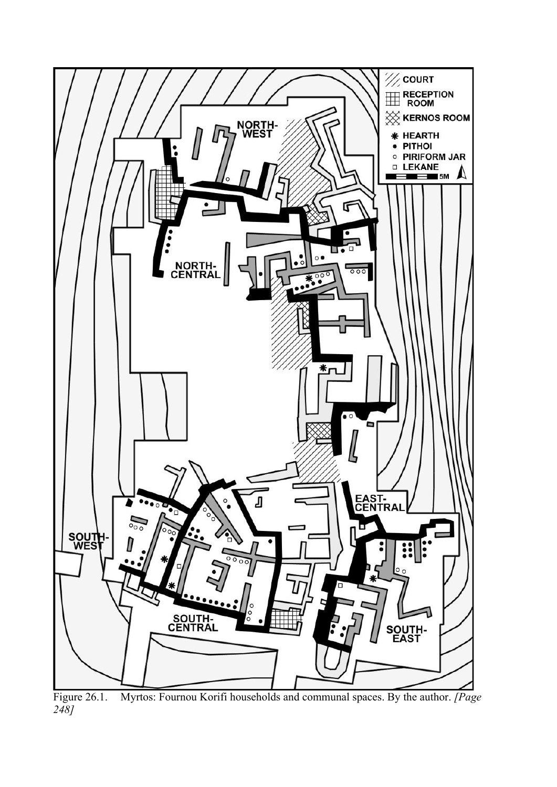

Figure 26.1. Myrtos: Fournou Korifi households and communal spaces. By the author. *[Page 248]*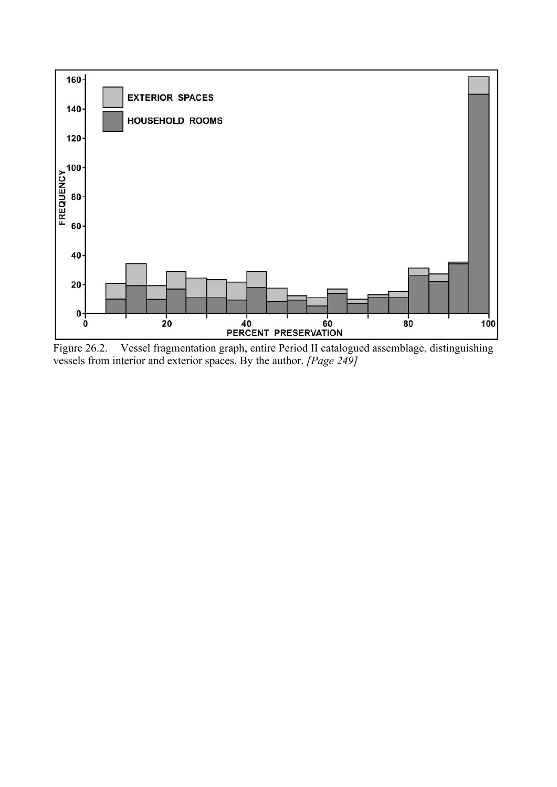

Figure 26.2. Vessel fragmentation graph, entire Period II catalogued assemblage, distinguishing vessels from interior and exterior spaces. By the author. *[Page 249]*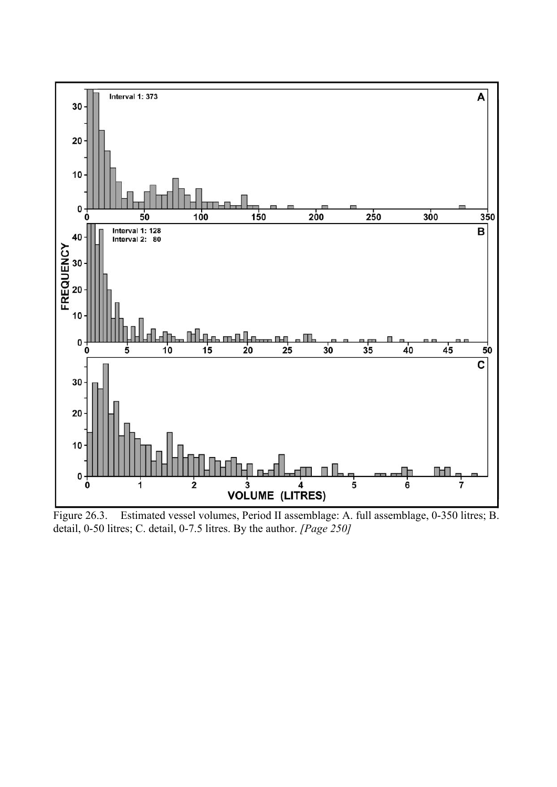

Figure 26.3. Estimated vessel volumes, Period II assemblage: A. full assemblage, 0-350 litres; B. detail, 0-50 litres; C. detail, 0-7.5 litres. By the author. *[Page 250]*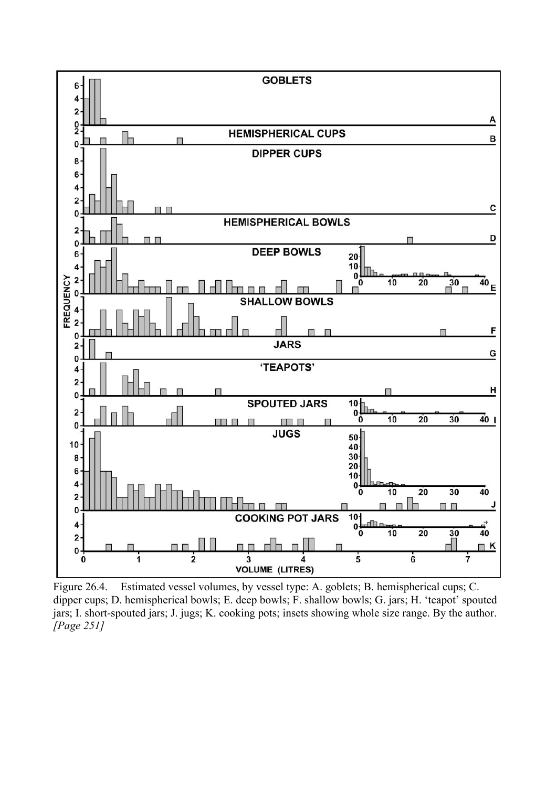

Figure 26.4. Estimated vessel volumes, by vessel type: A. goblets; B. hemispherical cups; C. dipper cups; D. hemispherical bowls; E. deep bowls; F. shallow bowls; G. jars; H. 'teapot' spouted jars; I. short-spouted jars; J. jugs; K. cooking pots; insets showing whole size range. By the author. *[Page 251]*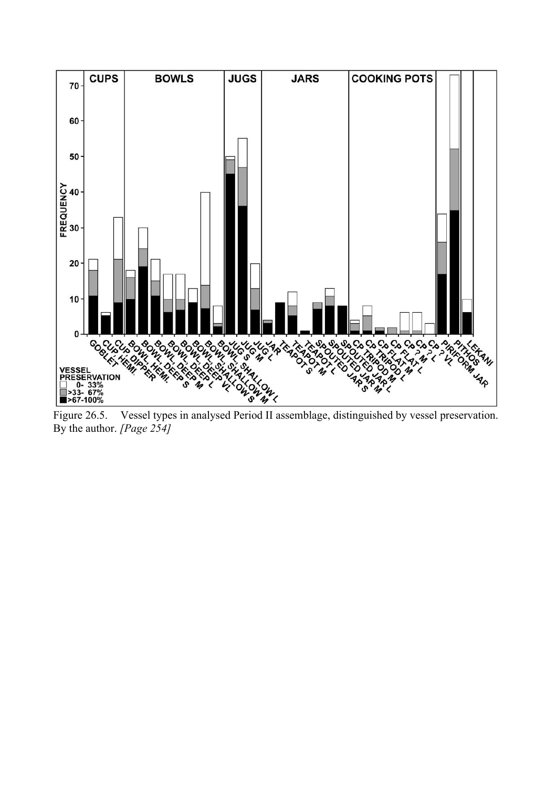

Figure 26.5. Vessel types in analysed Period II assemblage, distinguished by vessel preservation. By the author. *[Page 254]*